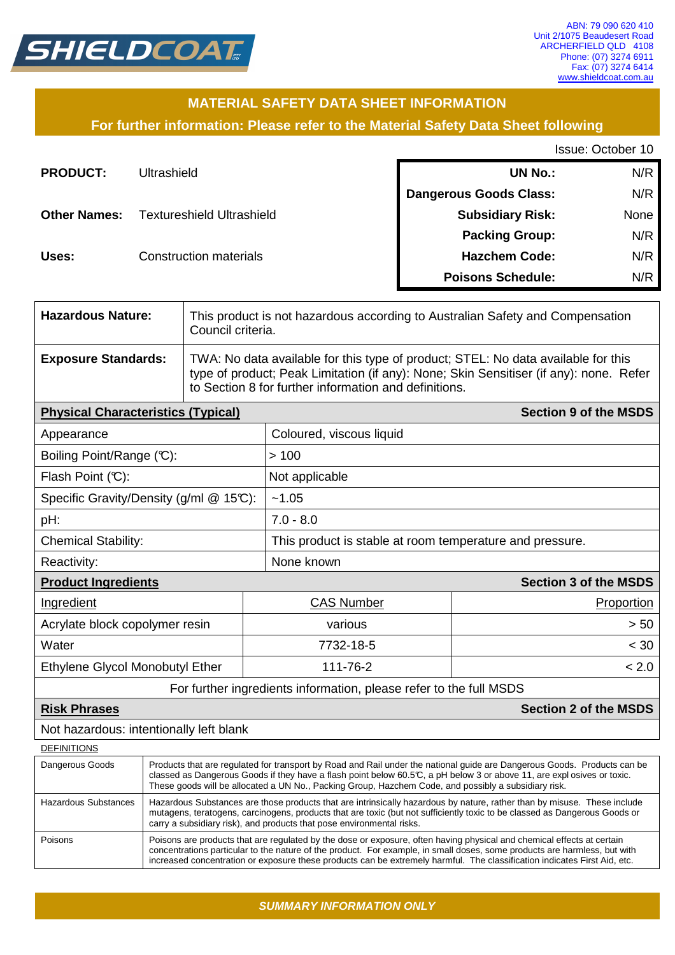

# **MATERIAL SAFETY DATA SHEET INFORMATION**

**For further information: Please refer to the Material Safety Data Sheet following**

Issue: October 10

| <b>PRODUCT:</b>     | Ultrashield                      | <b>UN No.:</b>                | N/R  |
|---------------------|----------------------------------|-------------------------------|------|
|                     |                                  | <b>Dangerous Goods Class:</b> | N/R  |
| <b>Other Names:</b> | <b>Textureshield Ultrashield</b> | <b>Subsidiary Risk:</b>       | None |
|                     |                                  | <b>Packing Group:</b>         | N/R  |
| Uses:               | <b>Construction materials</b>    | <b>Hazchem Code:</b>          | N/R  |
|                     |                                  | <b>Poisons Schedule:</b>      | N/R  |

| <b>Hazardous Nature:</b>   | This product is not hazardous according to Australian Safety and Compensation<br>Council criteria.                                                                                                                                   |
|----------------------------|--------------------------------------------------------------------------------------------------------------------------------------------------------------------------------------------------------------------------------------|
| <b>Exposure Standards:</b> | TWA: No data available for this type of product; STEL: No data available for this<br>type of product; Peak Limitation (if any): None; Skin Sensitiser (if any): none. Refer<br>to Section 8 for further information and definitions. |

| <b>Section 9 of the MSDS</b><br><b>Physical Characteristics (Typical)</b> |                                                          |                              |  |  |
|---------------------------------------------------------------------------|----------------------------------------------------------|------------------------------|--|--|
| Appearance                                                                | Coloured, viscous liquid                                 |                              |  |  |
| Boiling Point/Range (C):                                                  | >100                                                     |                              |  |  |
| Flash Point $(\mathbb{C})$ :                                              | Not applicable                                           |                              |  |  |
| Specific Gravity/Density (g/ml $@$ 15°C):                                 | ~1.05                                                    |                              |  |  |
| pH:                                                                       | $7.0 - 8.0$                                              |                              |  |  |
| <b>Chemical Stability:</b>                                                | This product is stable at room temperature and pressure. |                              |  |  |
| Reactivity:                                                               | None known                                               |                              |  |  |
| <b>Product Ingredients</b>                                                |                                                          | <b>Section 3 of the MSDS</b> |  |  |
| Ingredient                                                                | <b>CAS Number</b>                                        | Proportion                   |  |  |
| Acrylate block copolymer resin                                            | various                                                  | > 50                         |  |  |
| Water                                                                     | 7732-18-5                                                | < 30                         |  |  |
| Ethylene Glycol Monobutyl Ether                                           | 111-76-2<br>< 2.0                                        |                              |  |  |

For further ingredients information, please refer to the full MSDS

#### **Risk Phrases Section 2 of the MSDS**

Not hazardous: intentionally left blank

| <b>DEFINITIONS</b>   |                                                                                                                                                                                                                                                                                                                                                                                  |
|----------------------|----------------------------------------------------------------------------------------------------------------------------------------------------------------------------------------------------------------------------------------------------------------------------------------------------------------------------------------------------------------------------------|
| Dangerous Goods      | Products that are regulated for transport by Road and Rail under the national guide are Dangerous Goods. Products can be<br>classed as Dangerous Goods if they have a flash point below 60.5°C, a pH below 3 or above 11, are expl osives or toxic.<br>These goods will be allocated a UN No., Packing Group, Hazchem Code, and possibly a subsidiary risk.                      |
| Hazardous Substances | Hazardous Substances are those products that are intrinsically hazardous by nature, rather than by misuse. These include<br>mutagens, teratogens, carcinogens, products that are toxic (but not sufficiently toxic to be classed as Dangerous Goods or<br>carry a subsidiary risk), and products that pose environmental risks.                                                  |
| Poisons              | Poisons are products that are regulated by the dose or exposure, often having physical and chemical effects at certain<br>concentrations particular to the nature of the product. For example, in small doses, some products are harmless, but with<br>increased concentration or exposure these products can be extremely harmful. The classification indicates First Aid, etc. |

**SUMMARY INFORMATION ONLY**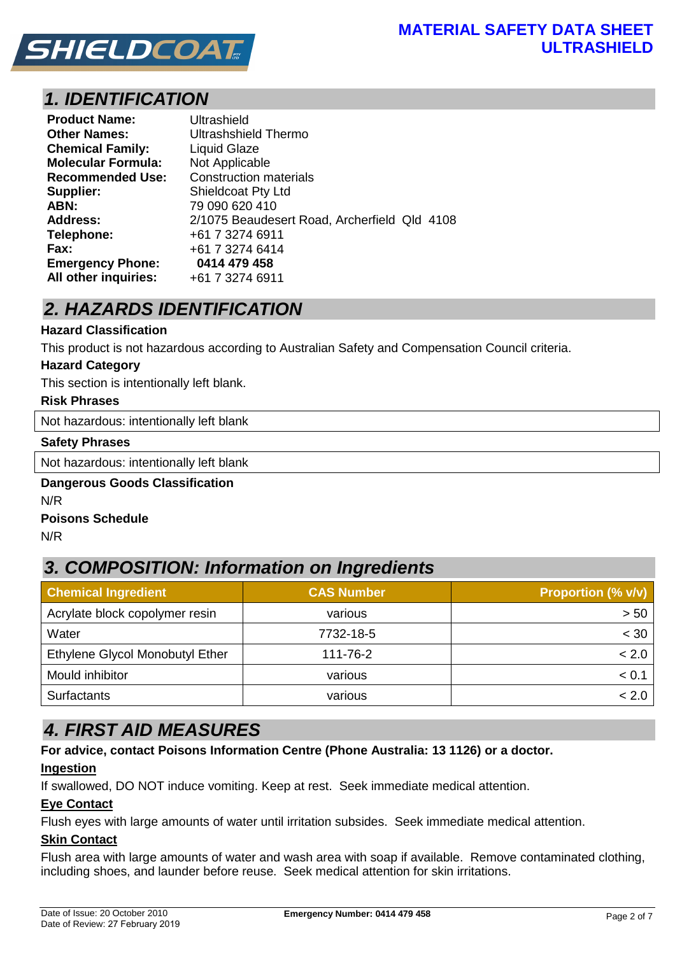

# **1. IDENTIFICATION**

| <b>Product Name:</b>      | Ultrashield                                  |
|---------------------------|----------------------------------------------|
| <b>Other Names:</b>       | Ultrashshield Thermo                         |
| <b>Chemical Family:</b>   | Liquid Glaze                                 |
| <b>Molecular Formula:</b> | Not Applicable                               |
| <b>Recommended Use:</b>   | <b>Construction materials</b>                |
| Supplier:                 | <b>Shieldcoat Pty Ltd</b>                    |
| ABN:                      | 79 090 620 410                               |
| <b>Address:</b>           | 2/1075 Beaudesert Road, Archerfield Qld 4108 |
| Telephone:                | +61 7 3274 6911                              |
| Fax:                      | +61 7 3274 6414                              |
| <b>Emergency Phone:</b>   | 0414 479 458                                 |
| All other inquiries:      | +61 7 3274 6911                              |

# **2. HAZARDS IDENTIFICATION**

#### **Hazard Classification**

This product is not hazardous according to Australian Safety and Compensation Council criteria.

#### **Hazard Category**

This section is intentionally left blank.

#### **Risk Phrases**

Not hazardous: intentionally left blank

#### **Safety Phrases**

Not hazardous: intentionally left blank

#### **Dangerous Goods Classification**  N/R

#### **Poisons Schedule**

N/R

# **3. COMPOSITION: Information on Ingredients**

| <b>Chemical Ingredient</b>      | <b>CAS Number</b> | <b>Proportion (% v/v)</b> |
|---------------------------------|-------------------|---------------------------|
| Acrylate block copolymer resin  | various           | > 50                      |
| Water                           | 7732-18-5         | $<$ 30                    |
| Ethylene Glycol Monobutyl Ether | 111-76-2          | < 2.0                     |
| Mould inhibitor                 | various           | < 0.1                     |
| <b>Surfactants</b>              | various           | < 2.0                     |

# **4. FIRST AID MEASURES**

**For advice, contact Poisons Information Centre (Phone Australia: 13 1126) or a doctor.** 

## **Ingestion**

If swallowed, DO NOT induce vomiting. Keep at rest. Seek immediate medical attention.

#### **Eye Contact**

Flush eyes with large amounts of water until irritation subsides. Seek immediate medical attention.

## **Skin Contact**

Flush area with large amounts of water and wash area with soap if available. Remove contaminated clothing, including shoes, and launder before reuse. Seek medical attention for skin irritations.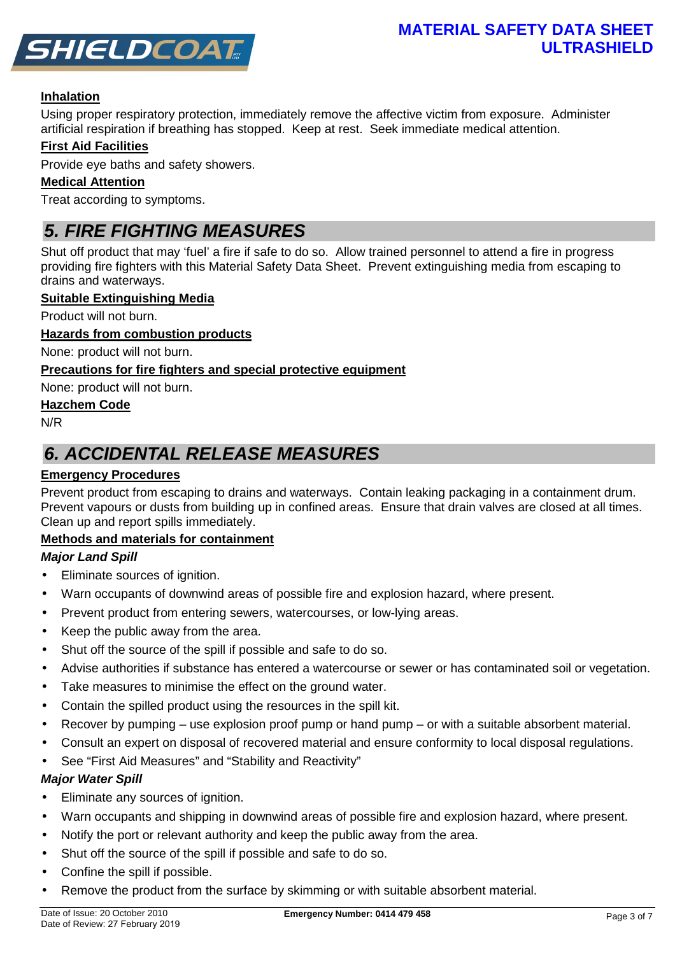

## **Inhalation**

Using proper respiratory protection, immediately remove the affective victim from exposure. Administer artificial respiration if breathing has stopped. Keep at rest. Seek immediate medical attention.

## **First Aid Facilities**

Provide eye baths and safety showers.

## **Medical Attention**

Treat according to symptoms.

# **5. FIRE FIGHTING MEASURES**

Shut off product that may 'fuel' a fire if safe to do so. Allow trained personnel to attend a fire in progress providing fire fighters with this Material Safety Data Sheet. Prevent extinguishing media from escaping to drains and waterways.

#### **Suitable Extinguishing Media**

Product will not burn.

#### **Hazards from combustion products**

None: product will not burn.

## **Precautions for fire fighters and special protective equipment**

None: product will not burn.

#### **Hazchem Code**

N/R

# **6. ACCIDENTAL RELEASE MEASURES**

## **Emergency Procedures**

Prevent product from escaping to drains and waterways. Contain leaking packaging in a containment drum. Prevent vapours or dusts from building up in confined areas. Ensure that drain valves are closed at all times. Clean up and report spills immediately.

## **Methods and materials for containment**

## **Major Land Spill**

- Eliminate sources of ignition.
- Warn occupants of downwind areas of possible fire and explosion hazard, where present.
- Prevent product from entering sewers, watercourses, or low-lying areas.
- Keep the public away from the area.
- Shut off the source of the spill if possible and safe to do so.
- Advise authorities if substance has entered a watercourse or sewer or has contaminated soil or vegetation.
- Take measures to minimise the effect on the ground water.
- Contain the spilled product using the resources in the spill kit.
- Recover by pumping use explosion proof pump or hand pump or with a suitable absorbent material.
- Consult an expert on disposal of recovered material and ensure conformity to local disposal regulations.
- See "First Aid Measures" and "Stability and Reactivity"

## **Major Water Spill**

- Eliminate any sources of ignition.
- Warn occupants and shipping in downwind areas of possible fire and explosion hazard, where present.
- Notify the port or relevant authority and keep the public away from the area.
- Shut off the source of the spill if possible and safe to do so.
- Confine the spill if possible.
- Remove the product from the surface by skimming or with suitable absorbent material.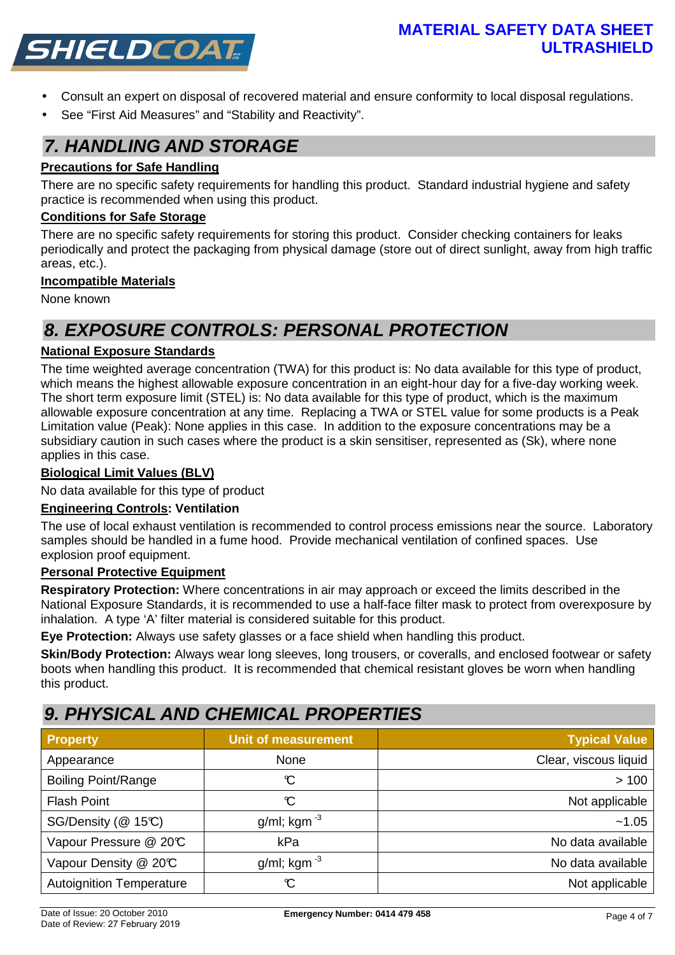

- Consult an expert on disposal of recovered material and ensure conformity to local disposal regulations.
- See "First Aid Measures" and "Stability and Reactivity".

# **7. HANDLING AND STORAGE**

### **Precautions for Safe Handling**

There are no specific safety requirements for handling this product. Standard industrial hygiene and safety practice is recommended when using this product.

## **Conditions for Safe Storage**

There are no specific safety requirements for storing this product. Consider checking containers for leaks periodically and protect the packaging from physical damage (store out of direct sunlight, away from high traffic areas, etc.).

#### **Incompatible Materials**

None known

# **8. EXPOSURE CONTROLS: PERSONAL PROTECTION**

## **National Exposure Standards**

The time weighted average concentration (TWA) for this product is: No data available for this type of product, which means the highest allowable exposure concentration in an eight-hour day for a five-day working week. The short term exposure limit (STEL) is: No data available for this type of product, which is the maximum allowable exposure concentration at any time. Replacing a TWA or STEL value for some products is a Peak Limitation value (Peak): None applies in this case. In addition to the exposure concentrations may be a subsidiary caution in such cases where the product is a skin sensitiser, represented as (Sk), where none applies in this case.

#### **Biological Limit Values (BLV)**

No data available for this type of product

#### **Engineering Controls: Ventilation**

The use of local exhaust ventilation is recommended to control process emissions near the source. Laboratory samples should be handled in a fume hood. Provide mechanical ventilation of confined spaces. Use explosion proof equipment.

#### **Personal Protective Equipment**

**Respiratory Protection:** Where concentrations in air may approach or exceed the limits described in the National Exposure Standards, it is recommended to use a half-face filter mask to protect from overexposure by inhalation. A type 'A' filter material is considered suitable for this product.

**Eye Protection:** Always use safety glasses or a face shield when handling this product.

**Skin/Body Protection:** Always wear long sleeves, long trousers, or coveralls, and enclosed footwear or safety boots when handling this product. It is recommended that chemical resistant gloves be worn when handling this product.

# **9. PHYSICAL AND CHEMICAL PROPERTIES**

| <b>Property</b>                 | <b>Unit of measurement</b> | <b>Typical Value</b>  |
|---------------------------------|----------------------------|-----------------------|
| Appearance                      | None                       | Clear, viscous liquid |
| <b>Boiling Point/Range</b>      | C                          | >100                  |
| <b>Flash Point</b>              | C                          | Not applicable        |
| SG/Density (@ 15°C)             | g/ml; kgm $^{-3}$          | ~1.05                 |
| Vapour Pressure @ 20°C          | kPa                        | No data available     |
| Vapour Density @ 20°C           | g/ml; kgm $^{-3}$          | No data available     |
| <b>Autoignition Temperature</b> | C                          | Not applicable        |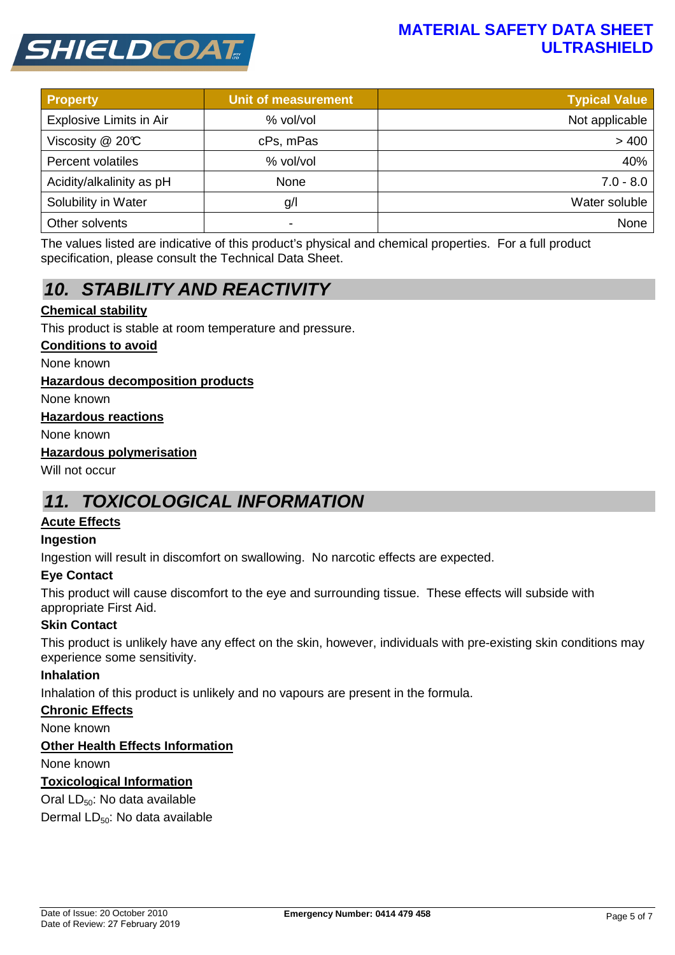



| <b>Property</b>          | <b>Unit of measurement</b> | <b>Typical Value</b> |
|--------------------------|----------------------------|----------------------|
| Explosive Limits in Air  | % vol/vol                  | Not applicable       |
| Viscosity @ 20°C         | cPs, mPas                  | > 400                |
| Percent volatiles        | % vol/vol                  | 40%                  |
| Acidity/alkalinity as pH | None                       | $7.0 - 8.0$          |
| Solubility in Water      | g/l                        | Water soluble        |
| Other solvents           | -                          | None                 |

The values listed are indicative of this product's physical and chemical properties. For a full product specification, please consult the Technical Data Sheet.

# **10. STABILITY AND REACTIVITY**

## **Chemical stability**

This product is stable at room temperature and pressure.

#### **Conditions to avoid**

None known

#### **Hazardous decomposition products**

None known

#### **Hazardous reactions**

None known

#### **Hazardous polymerisation**

Will not occur

# **11. TOXICOLOGICAL INFORMATION**

#### **Acute Effects**

#### **Ingestion**

Ingestion will result in discomfort on swallowing. No narcotic effects are expected.

#### **Eye Contact**

This product will cause discomfort to the eye and surrounding tissue. These effects will subside with appropriate First Aid.

#### **Skin Contact**

This product is unlikely have any effect on the skin, however, individuals with pre-existing skin conditions may experience some sensitivity.

#### **Inhalation**

Inhalation of this product is unlikely and no vapours are present in the formula.

#### **Chronic Effects**

None known

#### **Other Health Effects Information**

None known

#### **Toxicological Information**

Oral LD<sub>50</sub>: No data available

Dermal LD<sub>50</sub>: No data available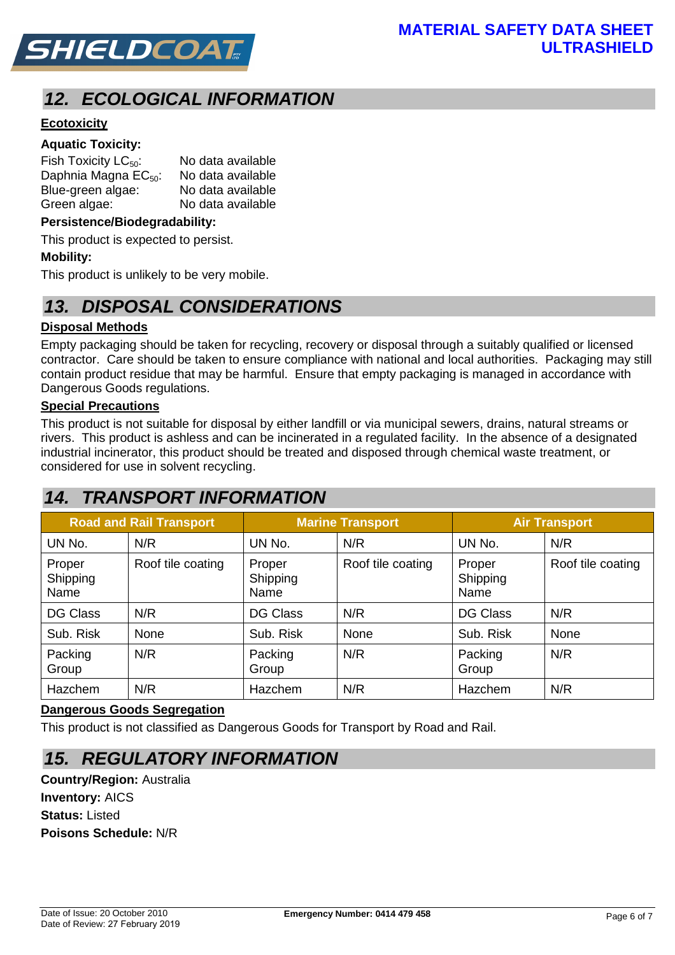

# **12. ECOLOGICAL INFORMATION**

# **Ecotoxicity**

# **Aquatic Toxicity:**

| Fish Toxicity $LC_{50}$ :        | No data available |
|----------------------------------|-------------------|
| Daphnia Magna EC <sub>50</sub> : | No data available |
| Blue-green algae:                | No data available |
| Green algae:                     | No data available |

#### **Persistence/Biodegradability:**

This product is expected to persist.

#### **Mobility:**

This product is unlikely to be very mobile.

# **13. DISPOSAL CONSIDERATIONS**

#### **Disposal Methods**

Empty packaging should be taken for recycling, recovery or disposal through a suitably qualified or licensed contractor. Care should be taken to ensure compliance with national and local authorities. Packaging may still contain product residue that may be harmful. Ensure that empty packaging is managed in accordance with Dangerous Goods regulations.

#### **Special Precautions**

This product is not suitable for disposal by either landfill or via municipal sewers, drains, natural streams or rivers. This product is ashless and can be incinerated in a regulated facility. In the absence of a designated industrial incinerator, this product should be treated and disposed through chemical waste treatment, or considered for use in solvent recycling.

# **14. TRANSPORT INFORMATION**

| <b>Road and Rail Transport</b> |                   | <b>Marine Transport</b>    |                   | <b>Air Transport</b>       |                   |
|--------------------------------|-------------------|----------------------------|-------------------|----------------------------|-------------------|
| UN No.                         | N/R               | UN No.                     | N/R               | UN No.                     | N/R               |
| Proper<br>Shipping<br>Name     | Roof tile coating | Proper<br>Shipping<br>Name | Roof tile coating | Proper<br>Shipping<br>Name | Roof tile coating |
| <b>DG Class</b>                | N/R               | <b>DG Class</b>            | N/R               | <b>DG Class</b>            | N/R               |
| Sub. Risk                      | None              | Sub. Risk                  | None              | Sub. Risk                  | None              |
| Packing<br>Group               | N/R               | Packing<br>Group           | N/R               | Packing<br>Group           | N/R               |
| Hazchem                        | N/R               | Hazchem                    | N/R               | Hazchem                    | N/R               |

#### **Dangerous Goods Segregation**

This product is not classified as Dangerous Goods for Transport by Road and Rail.

# **15. REGULATORY INFORMATION**

**Country/Region:** Australia **Inventory:** AICS **Status:** Listed **Poisons Schedule:** N/R